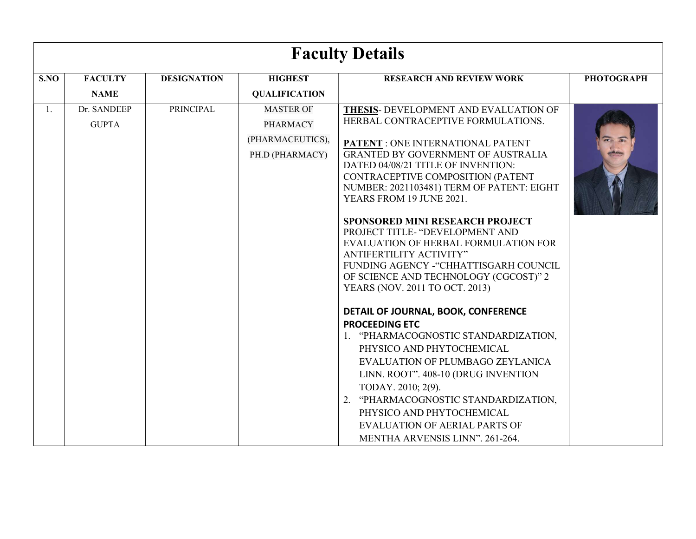|      | <b>Faculty Details</b>      |                    |                                                                            |                                                                                                                                                                                                                                                                                                                                                                                                                                                                                                                                                                                                                                                        |                   |  |
|------|-----------------------------|--------------------|----------------------------------------------------------------------------|--------------------------------------------------------------------------------------------------------------------------------------------------------------------------------------------------------------------------------------------------------------------------------------------------------------------------------------------------------------------------------------------------------------------------------------------------------------------------------------------------------------------------------------------------------------------------------------------------------------------------------------------------------|-------------------|--|
| S.NO | <b>FACULTY</b>              | <b>DESIGNATION</b> | <b>HIGHEST</b>                                                             | <b>RESEARCH AND REVIEW WORK</b>                                                                                                                                                                                                                                                                                                                                                                                                                                                                                                                                                                                                                        | <b>PHOTOGRAPH</b> |  |
|      | <b>NAME</b>                 |                    | <b>QUALIFICATION</b>                                                       |                                                                                                                                                                                                                                                                                                                                                                                                                                                                                                                                                                                                                                                        |                   |  |
| 1.   | Dr. SANDEEP<br><b>GUPTA</b> | <b>PRINCIPAL</b>   | <b>MASTER OF</b><br><b>PHARMACY</b><br>(PHARMACEUTICS),<br>PH.D (PHARMACY) | THESIS- DEVELOPMENT AND EVALUATION OF<br>HERBAL CONTRACEPTIVE FORMULATIONS.<br>PATENT : ONE INTERNATIONAL PATENT<br><b>GRANTED BY GOVERNMENT OF AUSTRALIA</b><br>DATED 04/08/21 TITLE OF INVENTION:<br>CONTRACEPTIVE COMPOSITION (PATENT<br>NUMBER: 2021103481) TERM OF PATENT: EIGHT<br>YEARS FROM 19 JUNE 2021.<br><b>SPONSORED MINI RESEARCH PROJECT</b><br>PROJECT TITLE- "DEVELOPMENT AND<br>EVALUATION OF HERBAL FORMULATION FOR<br>ANTIFERTILITY ACTIVITY"<br>FUNDING AGENCY - "CHHATTISGARH COUNCIL<br>OF SCIENCE AND TECHNOLOGY (CGCOST)" 2<br>YEARS (NOV. 2011 TO OCT. 2013)<br>DETAIL OF JOURNAL, BOOK, CONFERENCE<br><b>PROCEEDING ETC</b> |                   |  |
|      |                             |                    |                                                                            | 1. "PHARMACOGNOSTIC STANDARDIZATION,<br>PHYSICO AND PHYTOCHEMICAL<br>EVALUATION OF PLUMBAGO ZEYLANICA<br>LINN. ROOT". 408-10 (DRUG INVENTION<br>TODAY. 2010; 2(9).<br>"PHARMACOGNOSTIC STANDARDIZATION,<br>2.<br>PHYSICO AND PHYTOCHEMICAL<br><b>EVALUATION OF AERIAL PARTS OF</b><br>MENTHA ARVENSIS LINN". 261-264.                                                                                                                                                                                                                                                                                                                                  |                   |  |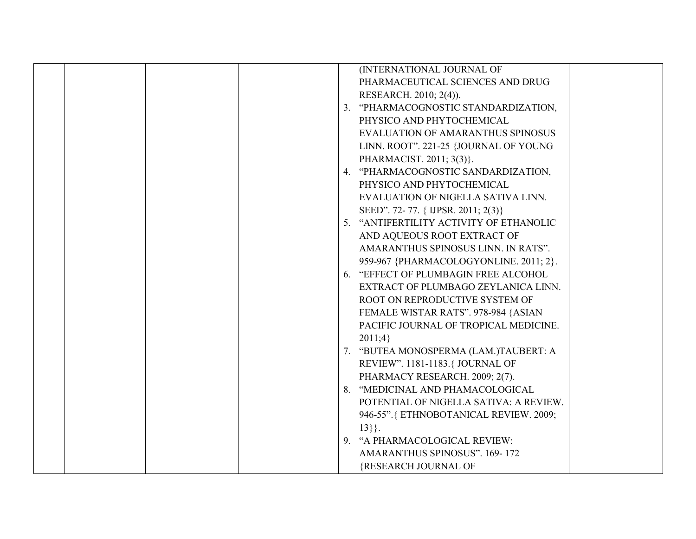|  | (INTERNATIONAL JOURNAL OF               |
|--|-----------------------------------------|
|  | PHARMACEUTICAL SCIENCES AND DRUG        |
|  | RESEARCH. 2010; 2(4)).                  |
|  | 3. "PHARMACOGNOSTIC STANDARDIZATION,    |
|  | PHYSICO AND PHYTOCHEMICAL               |
|  | EVALUATION OF AMARANTHUS SPINOSUS       |
|  | LINN. ROOT". 221-25 {JOURNAL OF YOUNG   |
|  | PHARMACIST. 2011; 3(3).                 |
|  | 4. "PHARMACOGNOSTIC SANDARDIZATION,     |
|  | PHYSICO AND PHYTOCHEMICAL               |
|  | EVALUATION OF NIGELLA SATIVA LINN.      |
|  | SEED". 72-77. { IJPSR. 2011; 2(3)}      |
|  | 5. "ANTIFERTILITY ACTIVITY OF ETHANOLIC |
|  | AND AQUEOUS ROOT EXTRACT OF             |
|  | AMARANTHUS SPINOSUS LINN. IN RATS".     |
|  | 959-967 {PHARMACOLOGYONLINE. 2011; 2}.  |
|  | 6. "EFFECT OF PLUMBAGIN FREE ALCOHOL    |
|  | EXTRACT OF PLUMBAGO ZEYLANICA LINN.     |
|  | ROOT ON REPRODUCTIVE SYSTEM OF          |
|  | FEMALE WISTAR RATS". 978-984 {ASIAN     |
|  | PACIFIC JOURNAL OF TROPICAL MEDICINE.   |
|  | 2011;4                                  |
|  | 7. "BUTEA MONOSPERMA (LAM.)TAUBERT: A   |
|  | REVIEW". 1181-1183. { JOURNAL OF        |
|  | PHARMACY RESEARCH. 2009; 2(7).          |
|  | 8. "MEDICINAL AND PHAMACOLOGICAL        |
|  | POTENTIAL OF NIGELLA SATIVA: A REVIEW.  |
|  | 946-55". { ETHNOBOTANICAL REVIEW. 2009; |
|  | $13\}$ .                                |
|  | 9. "A PHARMACOLOGICAL REVIEW:           |
|  | <b>AMARANTHUS SPINOSUS". 169-172</b>    |
|  | {RESEARCH JOURNAL OF                    |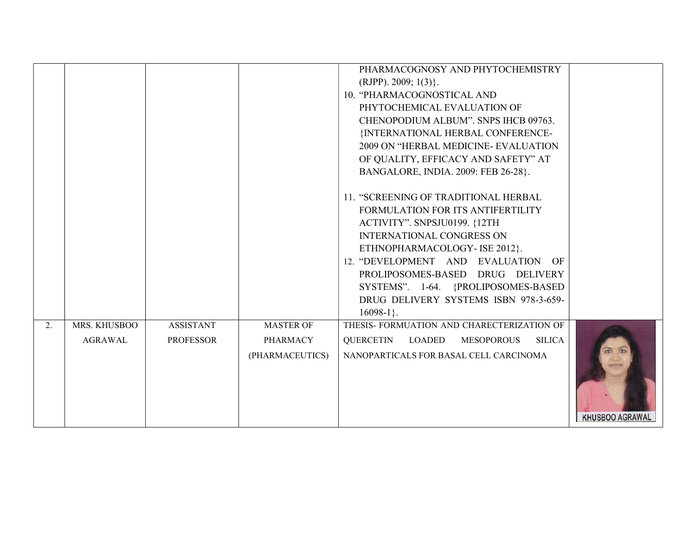|    |                                |                                      |                                                 | PHARMACOGNOSY AND PHYTOCHEMISTRY<br>$(RJPP)$ . 2009; 1(3).<br>10. "PHARMACOGNOSTICAL AND<br>PHYTOCHEMICAL EVALUATION OF<br>CHENOPODIUM ALBUM". SNPS IHCB 09763.<br>{INTERNATIONAL HERBAL CONFERENCE-<br>2009 ON "HERBAL MEDICINE- EVALUATION<br>OF QUALITY, EFFICACY AND SAFETY" AT<br>BANGALORE, INDIA. 2009: FEB 26-28}.                             |                 |
|----|--------------------------------|--------------------------------------|-------------------------------------------------|--------------------------------------------------------------------------------------------------------------------------------------------------------------------------------------------------------------------------------------------------------------------------------------------------------------------------------------------------------|-----------------|
|    |                                |                                      |                                                 | 11. "SCREENING OF TRADITIONAL HERBAL<br>FORMULATION FOR ITS ANTIFERTILITY<br>ACTIVITY". SNPSJU0199. {12TH<br><b>INTERNATIONAL CONGRESS ON</b><br>ETHNOPHARMACOLOGY-ISE 2012}.<br>12. "DEVELOPMENT AND EVALUATION OF<br>PROLIPOSOMES-BASED DRUG DELIVERY<br>SYSTEMS". 1-64. {PROLIPOSOMES-BASED<br>DRUG DELIVERY SYSTEMS ISBN 978-3-659-<br>$16098-1$ . |                 |
| 2. | MRS. KHUSBOO<br><b>AGRAWAL</b> | <b>ASSISTANT</b><br><b>PROFESSOR</b> | <b>MASTER OF</b><br>PHARMACY<br>(PHARMACEUTICS) | THESIS- FORMUATION AND CHARECTERIZATION OF<br>QUERCETIN<br>LOADED<br><b>MESOPOROUS</b><br><b>SILICA</b><br>NANOPARTICALS FOR BASAL CELL CARCINOMA                                                                                                                                                                                                      | KHUSBOO AGRAWAL |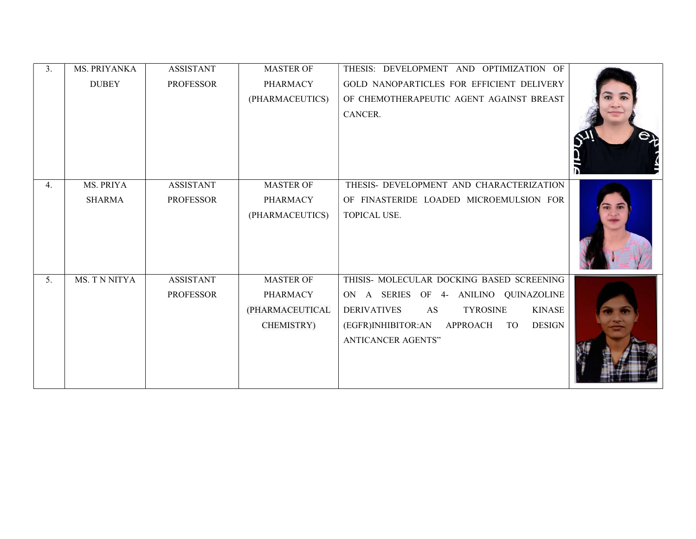| 3. | <b>MS. PRIYANKA</b> | <b>ASSISTANT</b> | <b>MASTER OF</b> | THESIS: DEVELOPMENT AND OPTIMIZATION OF                        |  |
|----|---------------------|------------------|------------------|----------------------------------------------------------------|--|
|    | <b>DUBEY</b>        | <b>PROFESSOR</b> | <b>PHARMACY</b>  | GOLD NANOPARTICLES FOR EFFICIENT DELIVERY                      |  |
|    |                     |                  | (PHARMACEUTICS)  | OF CHEMOTHERAPEUTIC AGENT AGAINST BREAST                       |  |
|    |                     |                  |                  | CANCER.                                                        |  |
|    |                     |                  |                  |                                                                |  |
|    |                     |                  |                  |                                                                |  |
|    |                     |                  |                  |                                                                |  |
|    |                     |                  |                  |                                                                |  |
| 4. | MS. PRIYA           | <b>ASSISTANT</b> | <b>MASTER OF</b> | THESIS- DEVELOPMENT AND CHARACTERIZATION                       |  |
|    | <b>SHARMA</b>       | <b>PROFESSOR</b> | <b>PHARMACY</b>  | OF FINASTERIDE LOADED MICROEMULSION FOR                        |  |
|    |                     |                  | (PHARMACEUTICS)  | TOPICAL USE.                                                   |  |
|    |                     |                  |                  |                                                                |  |
|    |                     |                  |                  |                                                                |  |
|    |                     |                  |                  |                                                                |  |
| 5. | MS. T N NITYA       | <b>ASSISTANT</b> | <b>MASTER OF</b> | THISIS- MOLECULAR DOCKING BASED SCREENING                      |  |
|    |                     | <b>PROFESSOR</b> | <b>PHARMACY</b>  | ON A SERIES OF 4- ANILINO QUINAZOLINE                          |  |
|    |                     |                  | (PHARMACEUTICAL  | <b>DERIVATIVES</b><br><b>KINASE</b><br><b>TYROSINE</b><br>AS   |  |
|    |                     |                  | CHEMISTRY)       | (EGFR) INHIBITOR: AN<br><b>DESIGN</b><br>APPROACH<br><b>TO</b> |  |
|    |                     |                  |                  | <b>ANTICANCER AGENTS"</b>                                      |  |
|    |                     |                  |                  |                                                                |  |
|    |                     |                  |                  |                                                                |  |
|    |                     |                  |                  |                                                                |  |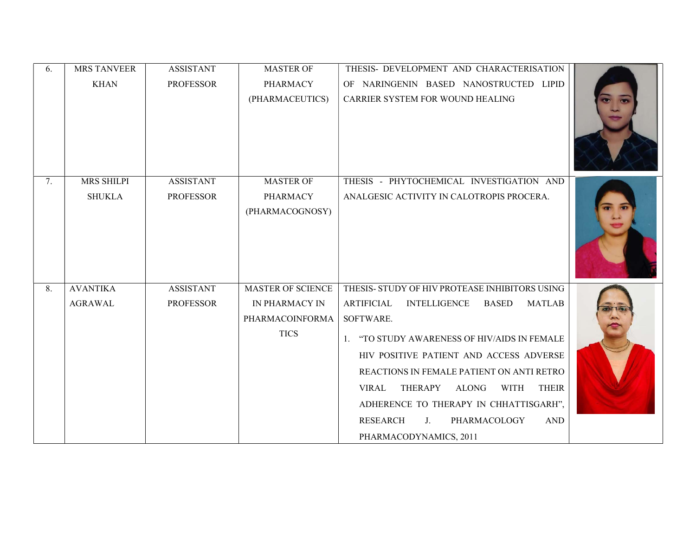| 6. | <b>MRS TANVEER</b> | <b>ASSISTANT</b> | <b>MASTER OF</b>         | THESIS- DEVELOPMENT AND CHARACTERISATION                                      |  |
|----|--------------------|------------------|--------------------------|-------------------------------------------------------------------------------|--|
|    | <b>KHAN</b>        | <b>PROFESSOR</b> | <b>PHARMACY</b>          | OF NARINGENIN BASED NANOSTRUCTED LIPID                                        |  |
|    |                    |                  | (PHARMACEUTICS)          | CARRIER SYSTEM FOR WOUND HEALING                                              |  |
| 7. | <b>MRS SHILPI</b>  | <b>ASSISTANT</b> | <b>MASTER OF</b>         | THESIS - PHYTOCHEMICAL INVESTIGATION AND                                      |  |
|    | <b>SHUKLA</b>      | <b>PROFESSOR</b> | <b>PHARMACY</b>          | ANALGESIC ACTIVITY IN CALOTROPIS PROCERA.                                     |  |
|    |                    |                  | (PHARMACOGNOSY)          |                                                                               |  |
| 8. | <b>AVANTIKA</b>    | <b>ASSISTANT</b> | <b>MASTER OF SCIENCE</b> | THESIS- STUDY OF HIV PROTEASE INHIBITORS USING                                |  |
|    | <b>AGRAWAL</b>     | <b>PROFESSOR</b> | IN PHARMACY IN           | <b>INTELLIGENCE</b><br><b>BASED</b><br><b>ARTIFICIAL</b><br><b>MATLAB</b>     |  |
|    |                    |                  | PHARMACOINFORMA          | SOFTWARE.                                                                     |  |
|    |                    |                  | <b>TICS</b>              | "TO STUDY AWARENESS OF HIV/AIDS IN FEMALE                                     |  |
|    |                    |                  |                          | HIV POSITIVE PATIENT AND ACCESS ADVERSE                                       |  |
|    |                    |                  |                          | REACTIONS IN FEMALE PATIENT ON ANTI RETRO                                     |  |
|    |                    |                  |                          | <b>THERAPY</b><br><b>ALONG</b><br><b>WITH</b><br><b>THEIR</b><br><b>VIRAL</b> |  |
|    |                    |                  |                          | ADHERENCE TO THERAPY IN CHHATTISGARH",                                        |  |
|    |                    |                  |                          | <b>RESEARCH</b><br>PHARMACOLOGY<br><b>AND</b><br>$J_{\cdot}$                  |  |
|    |                    |                  |                          | PHARMACODYNAMICS, 2011                                                        |  |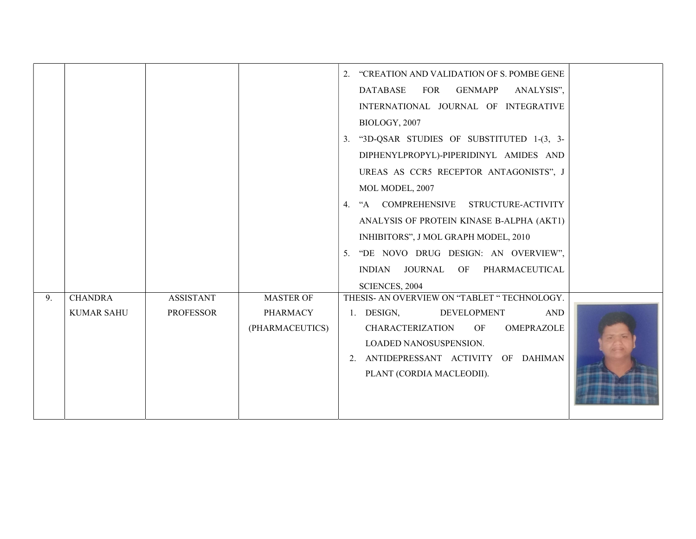|    |                                     |                                      |                                                        | "CREATION AND VALIDATION OF S. POMBE GENE<br>2.<br><b>GENMAPP</b><br><b>DATABASE</b><br><b>FOR</b><br>ANALYSIS",<br>INTERNATIONAL JOURNAL OF INTEGRATIVE<br>BIOLOGY, 2007<br>"3D-QSAR STUDIES OF SUBSTITUTED 1-(3, 3-<br>3.<br>DIPHENYLPROPYL)-PIPERIDINYL AMIDES AND<br>UREAS AS CCR5 RECEPTOR ANTAGONISTS", J<br>MOL MODEL, 2007<br>4. "A COMPREHENSIVE<br>STRUCTURE-ACTIVITY<br>ANALYSIS OF PROTEIN KINASE B-ALPHA (AKT1)<br>INHIBITORS", J MOL GRAPH MODEL, 2010 |  |
|----|-------------------------------------|--------------------------------------|--------------------------------------------------------|----------------------------------------------------------------------------------------------------------------------------------------------------------------------------------------------------------------------------------------------------------------------------------------------------------------------------------------------------------------------------------------------------------------------------------------------------------------------|--|
|    |                                     |                                      |                                                        | 5. "DE NOVO DRUG DESIGN: AN OVERVIEW",<br>JOURNAL OF<br>PHARMACEUTICAL<br>INDIAN<br>SCIENCES, 2004                                                                                                                                                                                                                                                                                                                                                                   |  |
| 9. | <b>CHANDRA</b><br><b>KUMAR SAHU</b> | <b>ASSISTANT</b><br><b>PROFESSOR</b> | <b>MASTER OF</b><br><b>PHARMACY</b><br>(PHARMACEUTICS) | THESIS- AN OVERVIEW ON "TABLET " TECHNOLOGY.<br>1. DESIGN,<br><b>DEVELOPMENT</b><br><b>AND</b><br><b>CHARACTERIZATION</b><br>OMEPRAZOLE<br>OF<br>LOADED NANOSUSPENSION.<br>2. ANTIDEPRESSANT ACTIVITY OF DAHIMAN                                                                                                                                                                                                                                                     |  |
|    |                                     |                                      |                                                        | PLANT (CORDIA MACLEODII).                                                                                                                                                                                                                                                                                                                                                                                                                                            |  |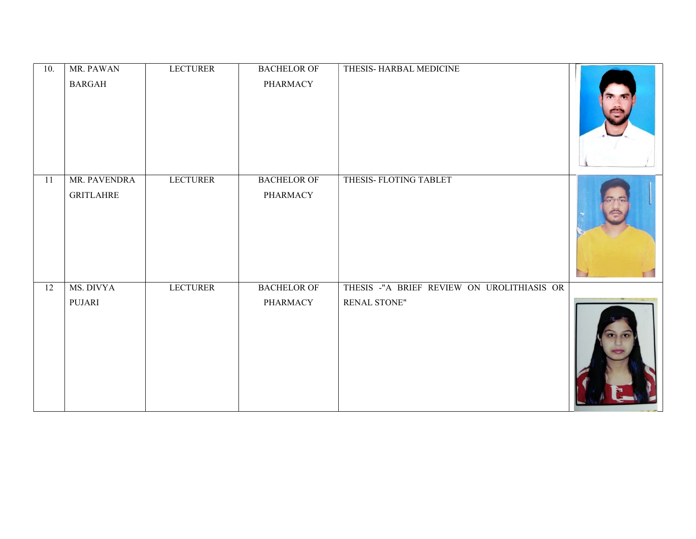| 10. | MR. PAWAN<br><b>BARGAH</b>       | <b>LECTURER</b> | <b>BACHELOR OF</b><br>PHARMACY | THESIS-HARBAL MEDICINE                                     |  |
|-----|----------------------------------|-----------------|--------------------------------|------------------------------------------------------------|--|
| 11  | MR. PAVENDRA<br><b>GRITLAHRE</b> | <b>LECTURER</b> | <b>BACHELOR OF</b><br>PHARMACY | THESIS-FLOTING TABLET                                      |  |
| 12  | MS. DIVYA<br>PUJARI              | <b>LECTURER</b> | <b>BACHELOR OF</b><br>PHARMACY | THESIS -"A BRIEF REVIEW ON UROLITHIASIS OR<br>RENAL STONE" |  |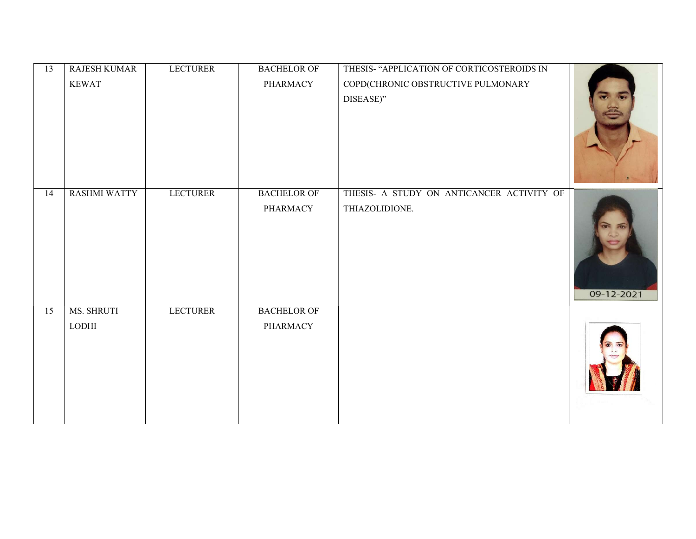| $\overline{13}$ | <b>RAJESH KUMAR</b> | <b>LECTURER</b> | <b>BACHELOR OF</b> | THESIS- "APPLICATION OF CORTICOSTEROIDS IN |            |
|-----------------|---------------------|-----------------|--------------------|--------------------------------------------|------------|
|                 | <b>KEWAT</b>        |                 | <b>PHARMACY</b>    | COPD(CHRONIC OBSTRUCTIVE PULMONARY         |            |
|                 |                     |                 |                    | DISEASE)"                                  |            |
|                 |                     |                 |                    |                                            |            |
| 14              | <b>RASHMI WATTY</b> | <b>LECTURER</b> | <b>BACHELOR OF</b> | THESIS- A STUDY ON ANTICANCER ACTIVITY OF  |            |
|                 |                     |                 | <b>PHARMACY</b>    | THIAZOLIDIONE.                             | 09-12-2021 |
| 15              | MS. SHRUTI          | <b>LECTURER</b> | <b>BACHELOR OF</b> |                                            |            |
|                 | <b>LODHI</b>        |                 | <b>PHARMACY</b>    |                                            |            |